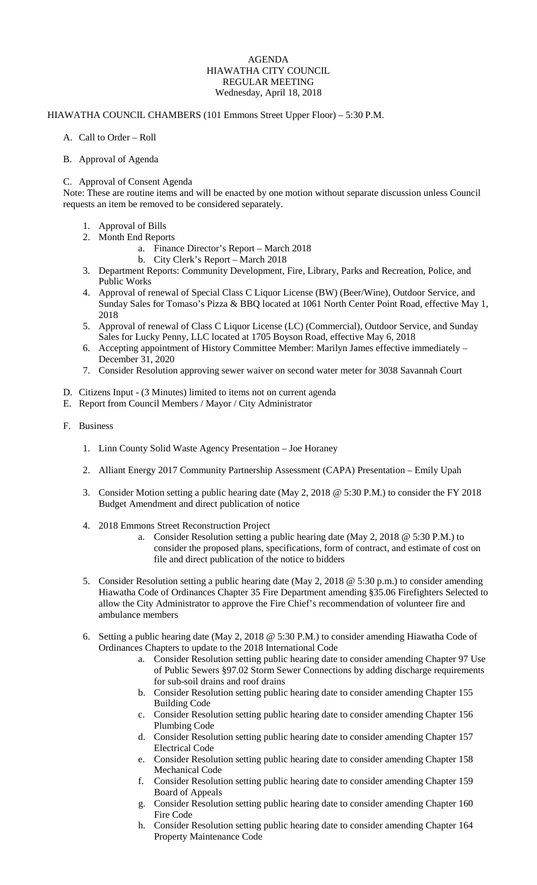## AGENDA HIAWATHA CITY COUNCIL REGULAR MEETING Wednesday, April 18, 2018

## HIAWATHA COUNCIL CHAMBERS (101 Emmons Street Upper Floor) – 5:30 P.M.

A. Call to Order – Roll

## B. Approval of Agenda

## C. Approval of Consent Agenda

Note: These are routine items and will be enacted by one motion without separate discussion unless Council requests an item be removed to be considered separately.

- 1. Approval of Bills
- 2. Month End Reports
	- a. Finance Director's Report March 2018
	- b. City Clerk's Report March 2018
- 3. Department Reports: Community Development, Fire, Library, Parks and Recreation, Police, and Public Works
- 4. Approval of renewal of Special Class C Liquor License (BW) (Beer/Wine), Outdoor Service, and Sunday Sales for Tomaso's Pizza & BBQ located at 1061 North Center Point Road, effective May 1, 2018
- 5. Approval of renewal of Class C Liquor License (LC) (Commercial), Outdoor Service, and Sunday Sales for Lucky Penny, LLC located at 1705 Boyson Road, effective May 6, 2018
- 6. Accepting appointment of History Committee Member: Marilyn James effective immediately December 31, 2020
- 7. Consider Resolution approving sewer waiver on second water meter for 3038 Savannah Court
- D. Citizens Input (3 Minutes) limited to items not on current agenda
- E. Report from Council Members / Mayor / City Administrator
- F. Business
	- 1. Linn County Solid Waste Agency Presentation Joe Horaney
	- 2. Alliant Energy 2017 Community Partnership Assessment (CAPA) Presentation Emily Upah
	- 3. Consider Motion setting a public hearing date (May 2, 2018 @ 5:30 P.M.) to consider the FY 2018 Budget Amendment and direct publication of notice
	- 4. 2018 Emmons Street Reconstruction Project
		- a. Consider Resolution setting a public hearing date (May 2, 2018 @ 5:30 P.M.) to consider the proposed plans, specifications, form of contract, and estimate of cost on file and direct publication of the notice to bidders
	- 5. Consider Resolution setting a public hearing date (May 2, 2018 @ 5:30 p.m.) to consider amending Hiawatha Code of Ordinances Chapter 35 Fire Department amending §35.06 Firefighters Selected to allow the City Administrator to approve the Fire Chief's recommendation of volunteer fire and ambulance members
	- 6. Setting a public hearing date (May 2, 2018 @ 5:30 P.M.) to consider amending Hiawatha Code of Ordinances Chapters to update to the 2018 International Code
		- a. Consider Resolution setting public hearing date to consider amending Chapter 97 Use of Public Sewers §97.02 Storm Sewer Connections by adding discharge requirements for sub-soil drains and roof drains
		- b. Consider Resolution setting public hearing date to consider amending Chapter 155 Building Code
		- c. Consider Resolution setting public hearing date to consider amending Chapter 156 Plumbing Code
		- d. Consider Resolution setting public hearing date to consider amending Chapter 157 Electrical Code
		- e. Consider Resolution setting public hearing date to consider amending Chapter 158 Mechanical Code
		- f. Consider Resolution setting public hearing date to consider amending Chapter 159 Board of Appeals
		- g. Consider Resolution setting public hearing date to consider amending Chapter 160 Fire Code
		- h. Consider Resolution setting public hearing date to consider amending Chapter 164 Property Maintenance Code